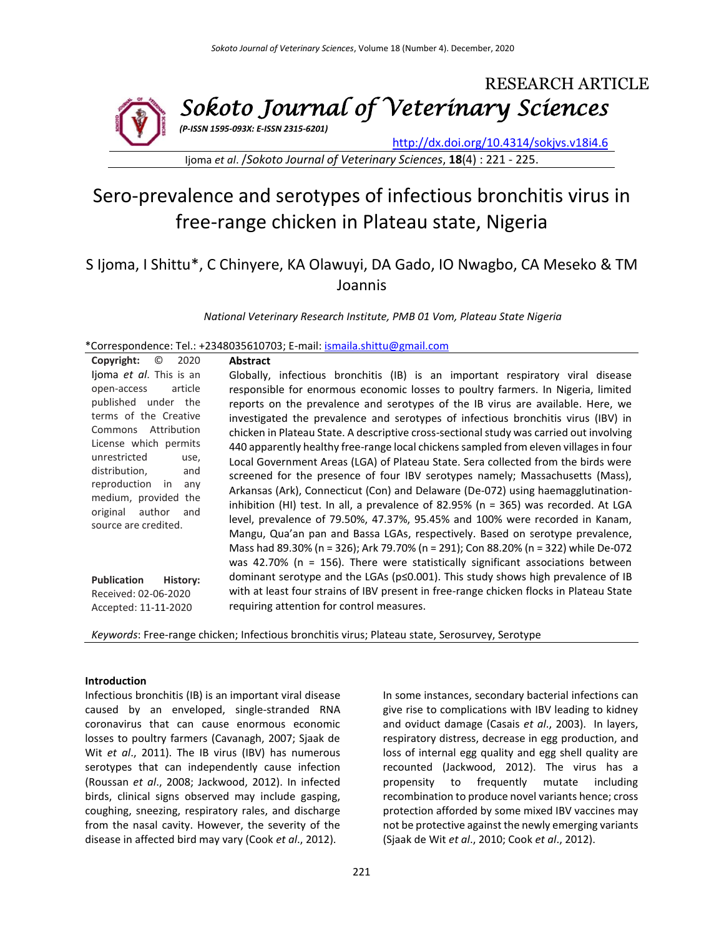

Ijoma *et al*. /*Sokoto Journal of Veterinary Sciences*, **18**(4) : 221 - 225.

# Sero-prevalence and serotypes of infectious bronchitis virus in free-range chicken in Plateau state, Nigeria

# S Ijoma, I Shittu\*, C Chinyere, KA Olawuyi, DA Gado, IO Nwagbo, CA Meseko & TM Joannis

*National Veterinary Research Institute, PMB 01 Vom, Plateau State Nigeria*

\*Correspondence: Tel.: +2348035610703; E-mail[: ismaila.shittu@gmail.com](mailto:ismaila.shittu@gmail.com)

| Copyright:<br>O<br>2020                        | <b>Abstract</b>                                                                         |
|------------------------------------------------|-----------------------------------------------------------------------------------------|
| ljoma et al. This is an                        | Globally, infectious bronchitis (IB) is an important respiratory viral disease          |
| article<br>open-access                         | responsible for enormous economic losses to poultry farmers. In Nigeria, limited        |
| published under the                            | reports on the prevalence and serotypes of the IB virus are available. Here, we         |
| terms of the Creative                          | investigated the prevalence and serotypes of infectious bronchitis virus (IBV) in       |
| Commons Attribution                            | chicken in Plateau State. A descriptive cross-sectional study was carried out involving |
| License which permits                          | 440 apparently healthy free-range local chickens sampled from eleven villages in four   |
| unrestricted<br>use,                           | Local Government Areas (LGA) of Plateau State. Sera collected from the birds were       |
| distribution,<br>and                           | screened for the presence of four IBV serotypes namely; Massachusetts (Mass),           |
| reproduction in<br>any                         | Arkansas (Ark), Connecticut (Con) and Delaware (De-072) using haemagglutination-        |
| medium, provided the                           | inhibition (HI) test. In all, a prevalence of 82.95% (n = 365) was recorded. At LGA     |
| original author<br>and<br>source are credited. | level, prevalence of 79.50%, 47.37%, 95.45% and 100% were recorded in Kanam,            |
|                                                | Mangu, Qua'an pan and Bassa LGAs, respectively. Based on serotype prevalence,           |
|                                                | Mass had 89.30% (n = 326); Ark 79.70% (n = 291); Con 88.20% (n = 322) while De-072      |
|                                                | was 42.70% ( $n = 156$ ). There were statistically significant associations between     |
| <b>Publication</b><br>History:                 | dominant serotype and the LGAs (p≤0.001). This study shows high prevalence of IB        |
| Received: 02-06-2020                           | with at least four strains of IBV present in free-range chicken flocks in Plateau State |
| Accepted: 11-11-2020                           | requiring attention for control measures.                                               |
|                                                |                                                                                         |

*Keywords*: Free-range chicken; Infectious bronchitis virus; Plateau state, Serosurvey, Serotype

# **Introduction**

Infectious bronchitis (IB) is an important viral disease caused by an enveloped, single-stranded RNA coronavirus that can cause enormous economic losses to poultry farmers (Cavanagh, 2007; Sjaak de Wit *et al*., 2011). The IB virus (IBV) has numerous serotypes that can independently cause infection (Roussan *et al*., 2008; Jackwood, 2012). In infected birds, clinical signs observed may include gasping, coughing, sneezing, respiratory rales, and discharge from the nasal cavity. However, the severity of the disease in affected bird may vary (Cook *et al*., 2012).

In some instances, secondary bacterial infections can give rise to complications with IBV leading to kidney and oviduct damage (Casais *et al*., 2003). In layers, respiratory distress, decrease in egg production, and loss of internal egg quality and egg shell quality are recounted (Jackwood, 2012). The virus has a propensity to frequently mutate including recombination to produce novel variants hence; cross protection afforded by some mixed IBV vaccines may not be protective against the newly emerging variants (Sjaak de Wit *et al*., 2010; Cook *et al*., 2012).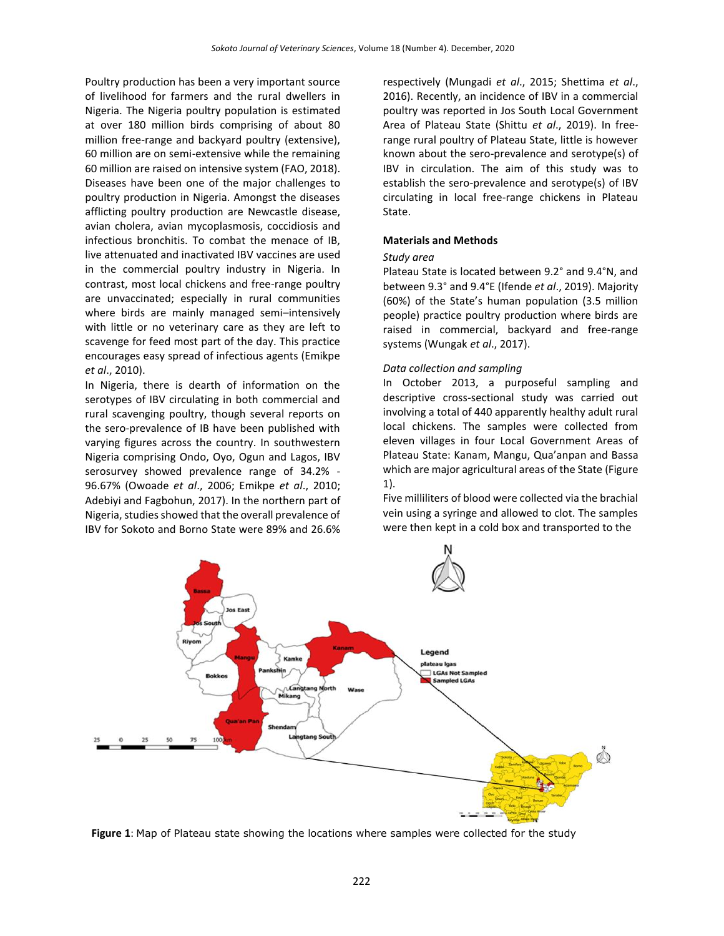Poultry production has been a very important source of livelihood for farmers and the rural dwellers in Nigeria. The Nigeria poultry population is estimated at over 180 million birds comprising of about 80 million free-range and backyard poultry (extensive), 60 million are on semi-extensive while the remaining 60 million are raised on intensive system (FAO, 2018). Diseases have been one of the major challenges to poultry production in Nigeria. Amongst the diseases afflicting poultry production are Newcastle disease, avian cholera, avian mycoplasmosis, coccidiosis and infectious bronchitis. To combat the menace of IB, live attenuated and inactivated IBV vaccines are used in the commercial poultry industry in Nigeria. In contrast, most local chickens and free-range poultry are unvaccinated; especially in rural communities where birds are mainly managed semi–intensively with little or no veterinary care as they are left to scavenge for feed most part of the day. This practice encourages easy spread of infectious agents (Emikpe *et al*., 2010).

In Nigeria, there is dearth of information on the serotypes of IBV circulating in both commercial and rural scavenging poultry, though several reports on the sero-prevalence of IB have been published with varying figures across the country. In southwestern Nigeria comprising Ondo, Oyo, Ogun and Lagos, IBV serosurvey showed prevalence range of 34.2% - 96.67% (Owoade *et al*., 2006; Emikpe *et al*., 2010; Adebiyi and Fagbohun, 2017). In the northern part of Nigeria, studies showed that the overall prevalence of IBV for Sokoto and Borno State were 89% and 26.6%

respectively (Mungadi *et al*., 2015; Shettima *et al*., 2016). Recently, an incidence of IBV in a commercial poultry was reported in Jos South Local Government Area of Plateau State (Shittu *et al*., 2019). In freerange rural poultry of Plateau State, little is however known about the sero-prevalence and serotype(s) of IBV in circulation. The aim of this study was to establish the sero-prevalence and serotype(s) of IBV circulating in local free-range chickens in Plateau State.

#### **Materials and Methods**

#### *Study area*

Plateau State is located between 9.2° and 9.4°N, and between 9.3° and 9.4°E (Ifende *et al*., 2019). Majority (60%) of the State's human population (3.5 million people) practice poultry production where birds are raised in commercial, backyard and free-range systems (Wungak *et al*., 2017).

#### *Data collection and sampling*

In October 2013, a purposeful sampling and descriptive cross-sectional study was carried out involving a total of 440 apparently healthy adult rural local chickens. The samples were collected from eleven villages in four Local Government Areas of Plateau State: Kanam, Mangu, Qua'anpan and Bassa which are major agricultural areas of the State (Figure 1).

Five milliliters of blood were collected via the brachial vein using a syringe and allowed to clot. The samples were then kept in a cold box and transported to the



**Figure 1**: Map of Plateau state showing the locations where samples were collected for the study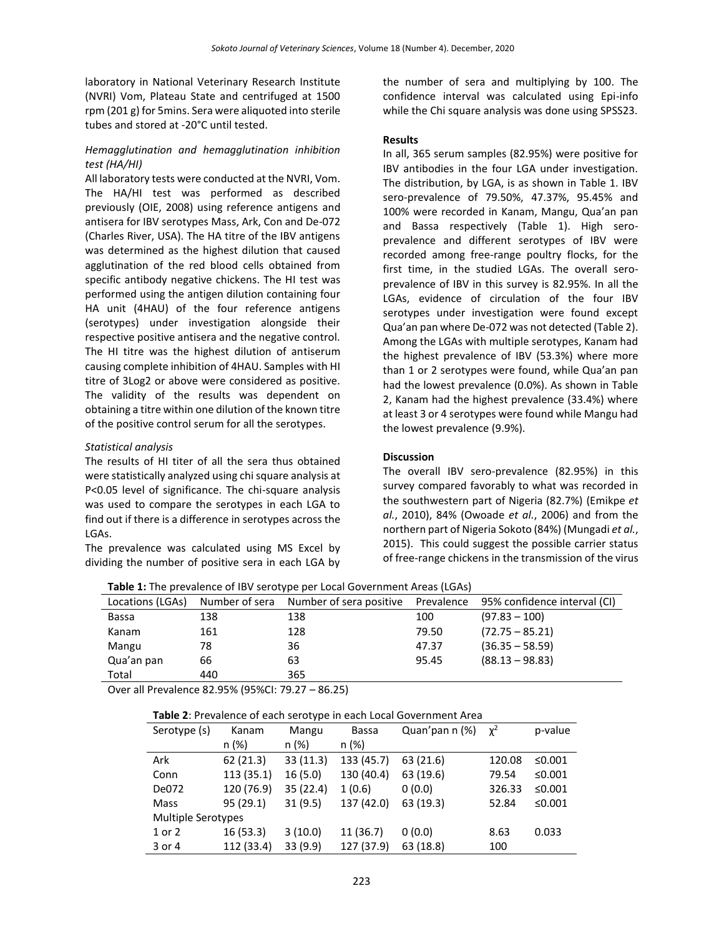laboratory in National Veterinary Research Institute (NVRI) Vom, Plateau State and centrifuged at 1500 rpm (201 g) for 5mins. Sera were aliquoted into sterile tubes and stored at -20°C until tested.

# *Hemagglutination and hemagglutination inhibition test (HA/HI)*

All laboratory tests were conducted at the NVRI, Vom. The HA/HI test was performed as described previously (OIE, 2008) using reference antigens and antisera for IBV serotypes Mass, Ark, Con and De-072 (Charles River, USA). The HA titre of the IBV antigens was determined as the highest dilution that caused agglutination of the red blood cells obtained from specific antibody negative chickens. The HI test was performed using the antigen dilution containing four HA unit (4HAU) of the four reference antigens (serotypes) under investigation alongside their respective positive antisera and the negative control. The HI titre was the highest dilution of antiserum causing complete inhibition of 4HAU. Samples with HI titre of 3Log2 or above were considered as positive. The validity of the results was dependent on obtaining a titre within one dilution of the known titre of the positive control serum for all the serotypes.

# *Statistical analysis*

The results of HI titer of all the sera thus obtained were statistically analyzed using chi square analysis at P<0.05 level of significance. The chi-square analysis was used to compare the serotypes in each LGA to find out if there is a difference in serotypes across the LGAs.

The prevalence was calculated using MS Excel by dividing the number of positive sera in each LGA by the number of sera and multiplying by 100. The confidence interval was calculated using Epi-info while the Chi square analysis was done using SPSS23.

#### **Results**

In all, 365 serum samples (82.95%) were positive for IBV antibodies in the four LGA under investigation. The distribution, by LGA, is as shown in Table 1. IBV sero-prevalence of 79.50%, 47.37%, 95.45% and 100% were recorded in Kanam, Mangu, Qua'an pan and Bassa respectively (Table 1). High seroprevalence and different serotypes of IBV were recorded among free-range poultry flocks, for the first time, in the studied LGAs. The overall seroprevalence of IBV in this survey is 82.95%. In all the LGAs, evidence of circulation of the four IBV serotypes under investigation were found except Qua'an pan where De-072 was not detected (Table 2). Among the LGAs with multiple serotypes, Kanam had the highest prevalence of IBV (53.3%) where more than 1 or 2 serotypes were found, while Qua'an pan had the lowest prevalence (0.0%). As shown in Table 2, Kanam had the highest prevalence (33.4%) where at least 3 or 4 serotypes were found while Mangu had the lowest prevalence (9.9%).

# **Discussion**

The overall IBV sero-prevalence (82.95%) in this survey compared favorably to what was recorded in the southwestern part of Nigeria (82.7%) (Emikpe *et al.*, 2010), 84% (Owoade *et al.*, 2006) and from the northern part of Nigeria Sokoto (84%) (Mungadi *et al.*, 2015). This could suggest the possible carrier status of free-range chickens in the transmission of the virus

|  |  | Table 1: The prevalence of IBV serotype per Local Government Areas (LGAs) |
|--|--|---------------------------------------------------------------------------|
|--|--|---------------------------------------------------------------------------|

| Locations (LGAs) | Number of sera | Number of sera positive | Prevalence | 95% confidence interval (CI) |
|------------------|----------------|-------------------------|------------|------------------------------|
| Bassa            | 138            | 138                     | 100        | $(97.83 - 100)$              |
| Kanam            | 161            | 128                     | 79.50      | $(72.75 - 85.21)$            |
| Mangu            | 78             | 36                      | 47.37      | $(36.35 - 58.59)$            |
| Qua'an pan       | 66             | 63                      | 95.45      | $(88.13 - 98.83)$            |
| Total            | 440            | 365                     |            |                              |
|                  |                |                         |            |                              |

Over all Prevalence 82.95% (95%CI: 79.27 – 86.25)

#### **Table 2**: Prevalence of each serotype in each Local Government Area

| Serotype (s)              | Kanam      | . .<br>Mangu | <b>Bassa</b> | Quan'pan n (%) | $\chi^2$ | p-value |  |
|---------------------------|------------|--------------|--------------|----------------|----------|---------|--|
|                           | n (%)      | n (%)        | n (%)        |                |          |         |  |
| Ark                       | 62(21.3)   | 33(11.3)     | 133 (45.7)   | 63 (21.6)      | 120.08   | ≤0.001  |  |
| Conn                      | 113 (35.1) | 16(5.0)      | 130 (40.4)   | 63 (19.6)      | 79.54    | ≤0.001  |  |
| De072                     | 120 (76.9) | 35 (22.4)    | 1(0.6)       | 0(0.0)         | 326.33   | ≤0.001  |  |
| Mass                      | 95(29.1)   | 31(9.5)      | 137 (42.0)   | 63 (19.3)      | 52.84    | ≤0.001  |  |
| <b>Multiple Serotypes</b> |            |              |              |                |          |         |  |
| 1 or 2                    | 16(53.3)   | 3(10.0)      | 11 (36.7)    | 0(0.0)         | 8.63     | 0.033   |  |
| 3 or 4                    | 112 (33.4) | 33 (9.9)     | 127 (37.9)   | 63 (18.8)      | 100      |         |  |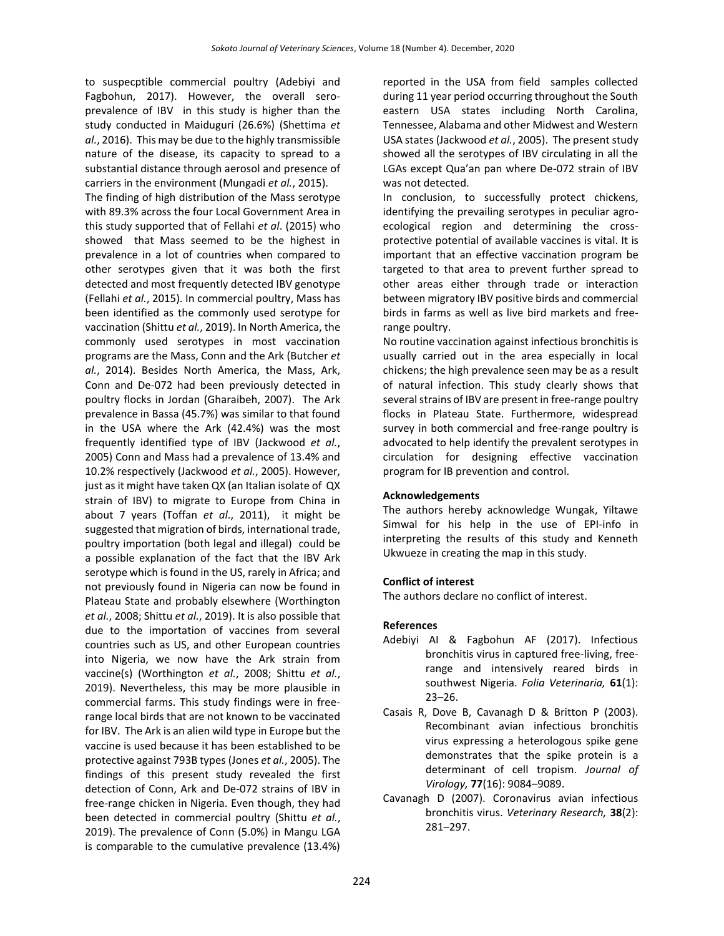to suspecptible commercial poultry (Adebiyi and Fagbohun, 2017). However, the overall seroprevalence of IBV in this study is higher than the study conducted in Maiduguri (26.6%) (Shettima *et al.*, 2016). This may be due to the highly transmissible nature of the disease, its capacity to spread to a substantial distance through aerosol and presence of carriers in the environment (Mungadi *et al.*, 2015).

The finding of high distribution of the Mass serotype with 89.3% across the four Local Government Area in this study supported that of Fellahi *et al*. (2015) who showed that Mass seemed to be the highest in prevalence in a lot of countries when compared to other serotypes given that it was both the first detected and most frequently detected IBV genotype (Fellahi *et al.*, 2015). In commercial poultry, Mass has been identified as the commonly used serotype for vaccination (Shittu *et al.*, 2019). In North America, the commonly used serotypes in most vaccination programs are the Mass, Conn and the Ark (Butcher *et al.*, 2014). Besides North America, the Mass, Ark, Conn and De-072 had been previously detected in poultry flocks in Jordan (Gharaibeh, 2007). The Ark prevalence in Bassa (45.7%) was similar to that found in the USA where the Ark (42.4%) was the most frequently identified type of IBV (Jackwood *et al.*, 2005) Conn and Mass had a prevalence of 13.4% and 10.2% respectively (Jackwood *et al.*, 2005). However, just as it might have taken QX (an Italian isolate of QX strain of IBV) to migrate to Europe from China in about 7 years (Toffan *et al*., 2011), it might be suggested that migration of birds, international trade, poultry importation (both legal and illegal) could be a possible explanation of the fact that the IBV Ark serotype which is found in the US, rarely in Africa; and not previously found in Nigeria can now be found in Plateau State and probably elsewhere (Worthington *et al.*, 2008; Shittu *et al.*, 2019). It is also possible that due to the importation of vaccines from several countries such as US, and other European countries into Nigeria, we now have the Ark strain from vaccine(s) (Worthington *et al.*, 2008; Shittu *et al.*, 2019). Nevertheless, this may be more plausible in commercial farms. This study findings were in freerange local birds that are not known to be vaccinated for IBV. The Ark is an alien wild type in Europe but the vaccine is used because it has been established to be protective against 793B types (Jones *et al.*, 2005). The findings of this present study revealed the first detection of Conn, Ark and De-072 strains of IBV in free-range chicken in Nigeria. Even though, they had been detected in commercial poultry (Shittu *et al.*, 2019). The prevalence of Conn (5.0%) in Mangu LGA is comparable to the cumulative prevalence (13.4%)

reported in the USA from field samples collected during 11 year period occurring throughout the South eastern USA states including North Carolina, Tennessee, Alabama and other Midwest and Western USA states (Jackwood *et al.*, 2005). The present study showed all the serotypes of IBV circulating in all the LGAs except Qua'an pan where De-072 strain of IBV was not detected.

In conclusion, to successfully protect chickens, identifying the prevailing serotypes in peculiar agroecological region and determining the crossprotective potential of available vaccines is vital. It is important that an effective vaccination program be targeted to that area to prevent further spread to other areas either through trade or interaction between migratory IBV positive birds and commercial birds in farms as well as live bird markets and freerange poultry.

No routine vaccination against infectious bronchitis is usually carried out in the area especially in local chickens; the high prevalence seen may be as a result of natural infection. This study clearly shows that several strains of IBV are present in free-range poultry flocks in Plateau State. Furthermore, widespread survey in both commercial and free-range poultry is advocated to help identify the prevalent serotypes in circulation for designing effective vaccination program for IB prevention and control.

# **Acknowledgements**

The authors hereby acknowledge Wungak, Yiltawe Simwal for his help in the use of EPI-info in interpreting the results of this study and Kenneth Ukwueze in creating the map in this study.

# **Conflict of interest**

The authors declare no conflict of interest.

# **References**

- Adebiyi AI & Fagbohun AF (2017). Infectious bronchitis virus in captured free-living, freerange and intensively reared birds in southwest Nigeria. *Folia Veterinaria,* **61**(1): 23–26.
- Casais R, Dove B, Cavanagh D & Britton P (2003). Recombinant avian infectious bronchitis virus expressing a heterologous spike gene demonstrates that the spike protein is a determinant of cell tropism. *Journal of Virology,* **77**(16): 9084–9089.
- Cavanagh D (2007). Coronavirus avian infectious bronchitis virus. *Veterinary Research,* **38**(2): 281–297.